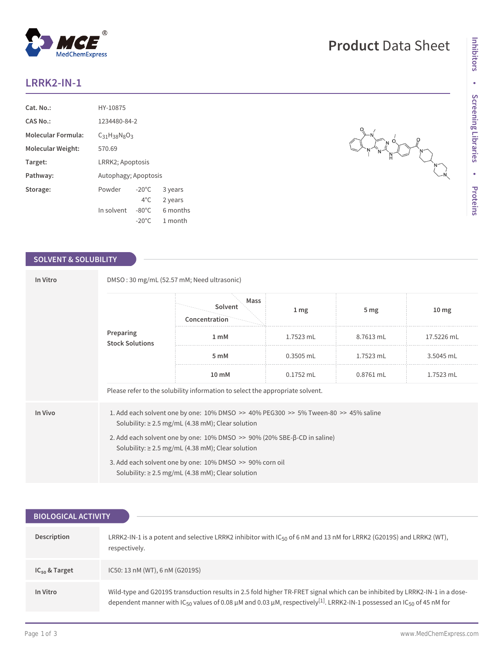# **LRRK2-IN-1**

| Cat. No.                  | HY-10875             |                      |          |  |
|---------------------------|----------------------|----------------------|----------|--|
| CAS No.:                  |                      | 1234480-84-2         |          |  |
| <b>Molecular Formula:</b> | $C_{31}H_{38}N_8O_3$ |                      |          |  |
| Molecular Weight:         | 570.69               |                      |          |  |
| Target:                   |                      | LRRK2; Apoptosis     |          |  |
| Pathway:                  |                      | Autophagy; Apoptosis |          |  |
| Storage:                  | Powder               | $-20^{\circ}$ C      | 3 years  |  |
|                           |                      | $4^{\circ}$ C.       | 2 years  |  |
|                           | In solvent           | $-80^{\circ}$ C      | 6 months |  |
|                           |                      | $-20^{\circ}$ C      | 1 month  |  |

 $^{\circledR}$ 

MedChemExpress

### **SOLVENT & SOLUBILITY**

| In Vitro | DMSO: 30 mg/mL (52.57 mM; Need ultrasonic)                                                                                                                   |                                                                                                                    |                 |                 |                  |  |
|----------|--------------------------------------------------------------------------------------------------------------------------------------------------------------|--------------------------------------------------------------------------------------------------------------------|-----------------|-----------------|------------------|--|
|          | Preparing<br><b>Stock Solutions</b>                                                                                                                          | Mass<br>Solvent<br>Concentration                                                                                   | 1 <sub>mg</sub> | 5 <sub>mg</sub> | 10 <sub>mg</sub> |  |
|          |                                                                                                                                                              | 1 <sub>m</sub> M                                                                                                   | $1.7523$ mL     | 8.7613 mL       | 17.5226 mL       |  |
|          |                                                                                                                                                              | 5 mM                                                                                                               | $0.3505$ mL     | 1.7523 mL       | 3.5045 mL        |  |
|          |                                                                                                                                                              | $10 \text{ mM}$                                                                                                    | $0.1752$ mL     | $0.8761$ mL     | 1.7523 mL        |  |
|          |                                                                                                                                                              | Please refer to the solubility information to select the appropriate solvent.                                      |                 |                 |                  |  |
| In Vivo  | 1. Add each solvent one by one: $10\%$ DMSO $\geq$ 40% PEG300 $\geq$ 5% Tween-80 $\geq$ 45% saline<br>Solubility: $\geq$ 2.5 mg/mL (4.38 mM); Clear solution |                                                                                                                    |                 |                 |                  |  |
|          | 2. Add each solvent one by one: $10\%$ DMSO $\geq$ 90% (20% SBE- $\beta$ -CD in saline)<br>Solubility: $\geq$ 2.5 mg/mL (4.38 mM); Clear solution            |                                                                                                                    |                 |                 |                  |  |
|          |                                                                                                                                                              | 3. Add each solvent one by one: 10% DMSO >> 90% corn oil<br>Solubility: $\geq$ 2.5 mg/mL (4.38 mM); Clear solution |                 |                 |                  |  |

| <b>BIOLOGICAL ACTIVITY</b> |                                                                                                                                                                                                                                                                                   |  |  |
|----------------------------|-----------------------------------------------------------------------------------------------------------------------------------------------------------------------------------------------------------------------------------------------------------------------------------|--|--|
|                            |                                                                                                                                                                                                                                                                                   |  |  |
| Description                | LRRK2-IN-1 is a potent and selective LRRK2 inhibitor with $IC_{50}$ of 6 nM and 13 nM for LRRK2 (G2019S) and LRRK2 (WT),<br>respectively.                                                                                                                                         |  |  |
| $IC_{50}$ & Target         | IC50: 13 nM (WT), 6 nM (G2019S)                                                                                                                                                                                                                                                   |  |  |
| In Vitro                   | Wild-type and G2019S transduction results in 2.5 fold higher TR-FRET signal which can be inhibited by LRRK2-IN-1 in a dose-<br>dependent manner with $IC_{50}$ values of 0.08 µM and 0.03 µM, respectively <sup>[1]</sup> . LRRK2-IN-1 possessed an IC <sub>50</sub> of 45 nM for |  |  |

# **Product** Data Sheet

AN PIPE RAILWAY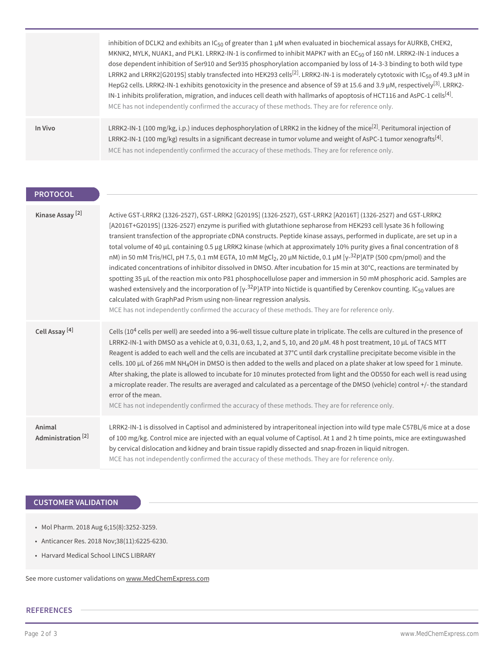|         | inhibition of DCLK2 and exhibits an IC <sub>50</sub> of greater than 1 $\mu$ M when evaluated in biochemical assays for AURKB, CHEK2,<br>MKNK2, MYLK, NUAK1, and PLK1. LRRK2-IN-1 is confirmed to inhibit MAPK7 with an EC <sub>50</sub> of 160 nM. LRRK2-IN-1 induces a<br>dose dependent inhibition of Ser910 and Ser935 phosphorylation accompanied by loss of 14-3-3 binding to both wild type<br>LRRK2 and LRRK2[G2019S] stably transfected into HEK293 cells <sup>[2]</sup> . LRRK2-IN-1 is moderately cytotoxic with IC <sub>50</sub> of 49.3 µM in<br>HepG2 cells. LRRK2-IN-1 exhibits genotoxicity in the presence and absence of S9 at 15.6 and 3.9 µM, respectively <sup>[3]</sup> . LRRK2-<br>IN-1 inhibits proliferation, migration, and induces cell death with hallmarks of apoptosis of HCT116 and AsPC-1 cells <sup>[4]</sup> .<br>MCE has not independently confirmed the accuracy of these methods. They are for reference only. |
|---------|-----------------------------------------------------------------------------------------------------------------------------------------------------------------------------------------------------------------------------------------------------------------------------------------------------------------------------------------------------------------------------------------------------------------------------------------------------------------------------------------------------------------------------------------------------------------------------------------------------------------------------------------------------------------------------------------------------------------------------------------------------------------------------------------------------------------------------------------------------------------------------------------------------------------------------------------------------|
| In Vivo | LRRK2-IN-1 (100 mg/kg, i.p.) induces dephosphorylation of LRRK2 in the kidney of the mice <sup>[2]</sup> . Peritumoral injection of<br>LRRK2-IN-1 (100 mg/kg) results in a significant decrease in tumor volume and weight of AsPC-1 tumor xenografts <sup>[4]</sup> .<br>MCE has not independently confirmed the accuracy of these methods. They are for reference only.                                                                                                                                                                                                                                                                                                                                                                                                                                                                                                                                                                           |

# **PROTOCOL**

| Kinase Assay <sup>[2]</sup>             | Active GST-LRRK2 (1326-2527), GST-LRRK2 [G2019S] (1326-2527), GST-LRRK2 [A2016T] (1326-2527) and GST-LRRK2<br>[A2016T+G2019S] (1326-2527) enzyme is purified with glutathione sepharose from HEK293 cell lysate 36 h following<br>transient transfection of the appropriate cDNA constructs. Peptide kinase assays, performed in duplicate, are set up in a<br>total volume of 40 µL containing 0.5 µg LRRK2 kinase (which at approximately 10% purity gives a final concentration of 8<br>nM) in 50 mM Tris/HCl, pH 7.5, 0.1 mM EGTA, 10 mM MgCl <sub>2</sub> , 20 µM Nictide, 0.1 µM [ $\gamma$ - <sup>32</sup> P]ATP (500 cpm/pmol) and the<br>indicated concentrations of inhibitor dissolved in DMSO. After incubation for 15 min at 30°C, reactions are terminated by<br>spotting 35 µL of the reaction mix onto P81 phosphocellulose paper and immersion in 50 mM phosphoric acid. Samples are<br>washed extensively and the incorporation of $[y^{-32}P]$ ATP into Nictide is quantified by Cerenkov counting. IC <sub>50</sub> values are<br>calculated with GraphPad Prism using non-linear regression analysis.<br>MCE has not independently confirmed the accuracy of these methods. They are for reference only. |
|-----------------------------------------|-------------------------------------------------------------------------------------------------------------------------------------------------------------------------------------------------------------------------------------------------------------------------------------------------------------------------------------------------------------------------------------------------------------------------------------------------------------------------------------------------------------------------------------------------------------------------------------------------------------------------------------------------------------------------------------------------------------------------------------------------------------------------------------------------------------------------------------------------------------------------------------------------------------------------------------------------------------------------------------------------------------------------------------------------------------------------------------------------------------------------------------------------------------------------------------------------------------------------------|
| Cell Assay <sup>[4]</sup>               | Cells ( $104$ cells per well) are seeded into a 96-well tissue culture plate in triplicate. The cells are cultured in the presence of<br>LRRK2-IN-1 with DMSO as a vehicle at 0, 0.31, 0.63, 1, 2, and 5, 10, and 20 $\mu$ M. 48 h post treatment, 10 $\mu$ L of TACS MTT<br>Reagent is added to each well and the cells are incubated at 37°C until dark crystalline precipitate become visible in the<br>cells. 100 µL of 266 mM NH <sub>4</sub> OH in DMSO is then added to the wells and placed on a plate shaker at low speed for 1 minute.<br>After shaking, the plate is allowed to incubate for 10 minutes protected from light and the OD550 for each well is read using<br>a microplate reader. The results are averaged and calculated as a percentage of the DMSO (vehicle) control +/- the standard<br>error of the mean.<br>MCE has not independently confirmed the accuracy of these methods. They are for reference only.                                                                                                                                                                                                                                                                                     |
| Animal<br>Administration <sup>[2]</sup> | LRRK2-IN-1 is dissolved in Captisol and administered by intraperitoneal injection into wild type male C57BL/6 mice at a dose<br>of 100 mg/kg. Control mice are injected with an equal volume of Captisol. At 1 and 2 h time points, mice are extinguwashed<br>by cervical dislocation and kidney and brain tissue rapidly dissected and snap-frozen in liquid nitrogen.<br>MCE has not independently confirmed the accuracy of these methods. They are for reference only.                                                                                                                                                                                                                                                                                                                                                                                                                                                                                                                                                                                                                                                                                                                                                    |

## **CUSTOMER VALIDATION**

- Mol Pharm. 2018 Aug 6;15(8):3252-3259.
- Anticancer Res. 2018 Nov;38(11):6225-6230.
- Harvard Medical School LINCS LIBRARY

See more customer validations on<www.MedChemExpress.com>

#### **REFERENCES**